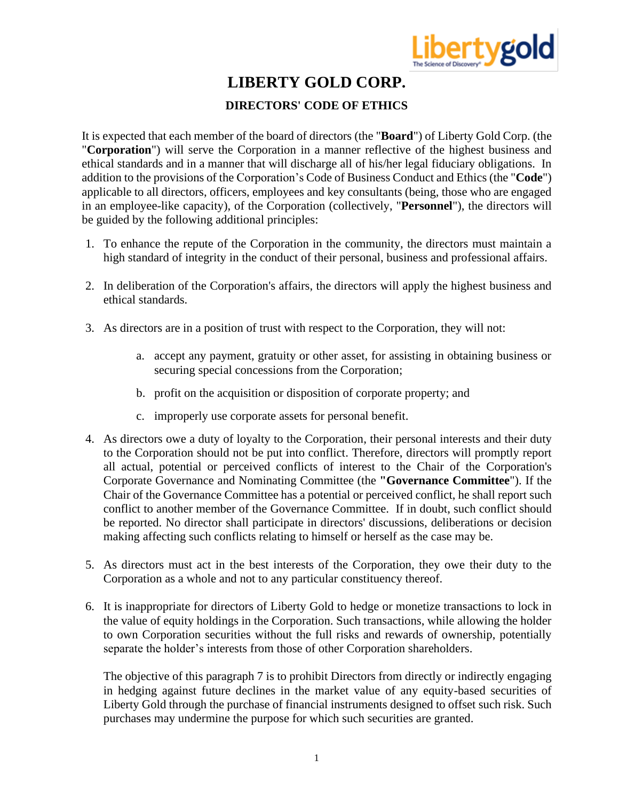

## **LIBERTY GOLD CORP.**

### **DIRECTORS' CODE OF ETHICS**

It is expected that each member of the board of directors (the "**Board**") of Liberty Gold Corp. (the "**Corporation**") will serve the Corporation in a manner reflective of the highest business and ethical standards and in a manner that will discharge all of his/her legal fiduciary obligations. In addition to the provisions of the Corporation's Code of Business Conduct and Ethics (the "**Code**") applicable to all directors, officers, employees and key consultants (being, those who are engaged in an employee-like capacity), of the Corporation (collectively, "**Personnel**"), the directors will be guided by the following additional principles:

- 1. To enhance the repute of the Corporation in the community, the directors must maintain a high standard of integrity in the conduct of their personal, business and professional affairs.
- 2. In deliberation of the Corporation's affairs, the directors will apply the highest business and ethical standards.
- 3. As directors are in a position of trust with respect to the Corporation, they will not:
	- a. accept any payment, gratuity or other asset, for assisting in obtaining business or securing special concessions from the Corporation;
	- b. profit on the acquisition or disposition of corporate property; and
	- c. improperly use corporate assets for personal benefit.
- 4. As directors owe a duty of loyalty to the Corporation, their personal interests and their duty to the Corporation should not be put into conflict. Therefore, directors will promptly report all actual, potential or perceived conflicts of interest to the Chair of the Corporation's Corporate Governance and Nominating Committee (the **"Governance Committee**"). If the Chair of the Governance Committee has a potential or perceived conflict, he shall report such conflict to another member of the Governance Committee. If in doubt, such conflict should be reported. No director shall participate in directors' discussions, deliberations or decision making affecting such conflicts relating to himself or herself as the case may be.
- 5. As directors must act in the best interests of the Corporation, they owe their duty to the Corporation as a whole and not to any particular constituency thereof.
- 6. It is inappropriate for directors of Liberty Gold to hedge or monetize transactions to lock in the value of equity holdings in the Corporation. Such transactions, while allowing the holder to own Corporation securities without the full risks and rewards of ownership, potentially separate the holder's interests from those of other Corporation shareholders.

The objective of this paragraph 7 is to prohibit Directors from directly or indirectly engaging in hedging against future declines in the market value of any equity-based securities of Liberty Gold through the purchase of financial instruments designed to offset such risk. Such purchases may undermine the purpose for which such securities are granted.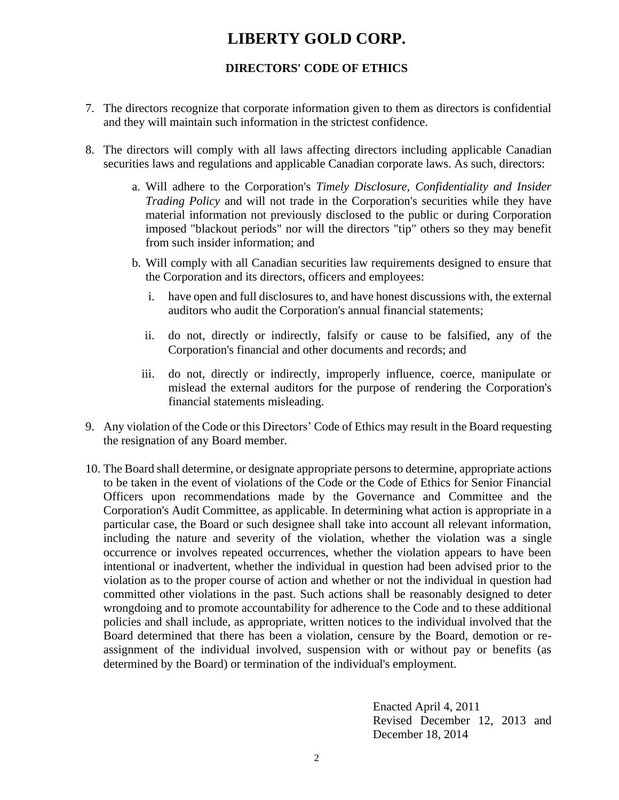# **LIBERTY GOLD CORP.**

#### **DIRECTORS' CODE OF ETHICS**

- 7. The directors recognize that corporate information given to them as directors is confidential and they will maintain such information in the strictest confidence.
- 8. The directors will comply with all laws affecting directors including applicable Canadian securities laws and regulations and applicable Canadian corporate laws. As such, directors:
	- a. Will adhere to the Corporation's *Timely Disclosure, Confidentiality and Insider Trading Policy* and will not trade in the Corporation's securities while they have material information not previously disclosed to the public or during Corporation imposed "blackout periods" nor will the directors "tip" others so they may benefit from such insider information; and
	- b. Will comply with all Canadian securities law requirements designed to ensure that the Corporation and its directors, officers and employees:
		- i. have open and full disclosures to, and have honest discussions with, the external auditors who audit the Corporation's annual financial statements;
		- ii. do not, directly or indirectly, falsify or cause to be falsified, any of the Corporation's financial and other documents and records; and
		- iii. do not, directly or indirectly, improperly influence, coerce, manipulate or mislead the external auditors for the purpose of rendering the Corporation's financial statements misleading.
- 9. Any violation of the Code or this Directors' Code of Ethics may result in the Board requesting the resignation of any Board member.
- 10. The Board shall determine, or designate appropriate persons to determine, appropriate actions to be taken in the event of violations of the Code or the Code of Ethics for Senior Financial Officers upon recommendations made by the Governance and Committee and the Corporation's Audit Committee, as applicable. In determining what action is appropriate in a particular case, the Board or such designee shall take into account all relevant information, including the nature and severity of the violation, whether the violation was a single occurrence or involves repeated occurrences, whether the violation appears to have been intentional or inadvertent, whether the individual in question had been advised prior to the violation as to the proper course of action and whether or not the individual in question had committed other violations in the past. Such actions shall be reasonably designed to deter wrongdoing and to promote accountability for adherence to the Code and to these additional policies and shall include, as appropriate, written notices to the individual involved that the Board determined that there has been a violation, censure by the Board, demotion or reassignment of the individual involved, suspension with or without pay or benefits (as determined by the Board) or termination of the individual's employment.

Enacted April 4, 2011 Revised December 12, 2013 and December 18, 2014